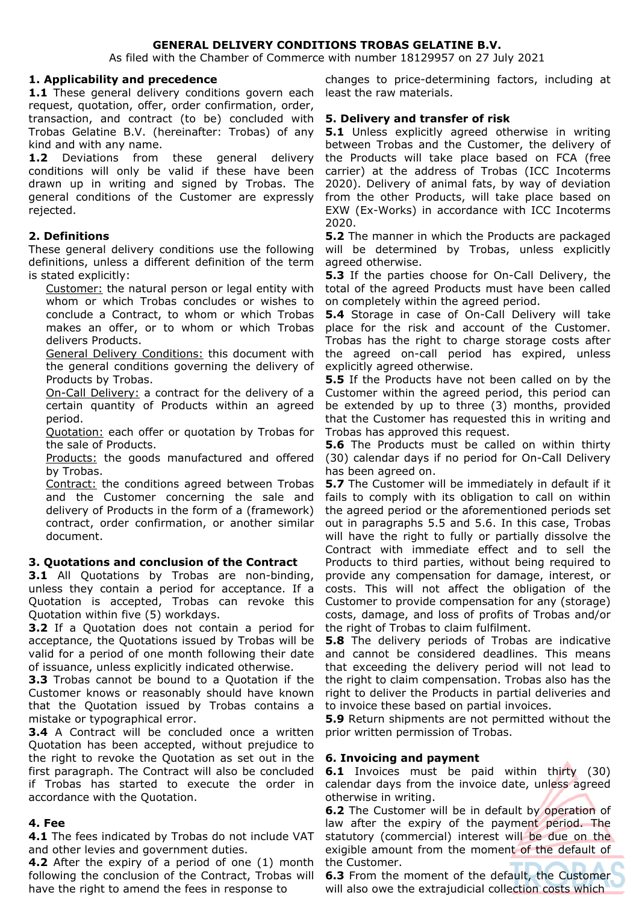### **GENERAL DELIVERY CONDITIONS TROBAS GELATINE B.V.**

As filed with the Chamber of Commerce with number 18129957 on 27 July 2021

#### **1. Applicability and precedence**

**1.1** These general delivery conditions govern each request, quotation, offer, order confirmation, order, transaction, and contract (to be) concluded with Trobas Gelatine B.V. (hereinafter: Trobas) of any kind and with any name.

1.2 Deviations from these general delivery conditions will only be valid if these have been drawn up in writing and signed by Trobas. The general conditions of the Customer are expressly rejected.

### **2. Definitions**

These general delivery conditions use the following definitions, unless a different definition of the term is stated explicitly:

Customer: the natural person or legal entity with whom or which Trobas concludes or wishes to conclude a Contract, to whom or which Trobas makes an offer, or to whom or which Trobas delivers Products.

General Delivery Conditions: this document with the general conditions governing the delivery of Products by Trobas.

On-Call Delivery: a contract for the delivery of a certain quantity of Products within an agreed period.

Quotation: each offer or quotation by Trobas for the sale of Products.

Products: the goods manufactured and offered by Trobas.

Contract: the conditions agreed between Trobas and the Customer concerning the sale and delivery of Products in the form of a (framework) contract, order confirmation, or another similar document.

### **3. Quotations and conclusion of the Contract**

**3.1** All Quotations by Trobas are non-binding, unless they contain a period for acceptance. If a Quotation is accepted, Trobas can revoke this Quotation within five (5) workdays.

**3.2** If a Quotation does not contain a period for acceptance, the Quotations issued by Trobas will be valid for a period of one month following their date of issuance, unless explicitly indicated otherwise.

**3.3** Trobas cannot be bound to a Quotation if the Customer knows or reasonably should have known that the Quotation issued by Trobas contains a mistake or typographical error.

**3.4** A Contract will be concluded once a written Quotation has been accepted, without prejudice to the right to revoke the Quotation as set out in the first paragraph. The Contract will also be concluded if Trobas has started to execute the order in accordance with the Quotation.

### **4. Fee**

**4.1** The fees indicated by Trobas do not include VAT and other levies and government duties.

**4.2** After the expiry of a period of one (1) month following the conclusion of the Contract, Trobas will have the right to amend the fees in response to

changes to price-determining factors, including at least the raw materials.

### **5. Delivery and transfer of risk**

**5.1** Unless explicitly agreed otherwise in writing between Trobas and the Customer, the delivery of the Products will take place based on FCA (free carrier) at the address of Trobas (ICC Incoterms 2020). Delivery of animal fats, by way of deviation from the other Products, will take place based on EXW (Ex-Works) in accordance with ICC Incoterms 2020.

**5.2** The manner in which the Products are packaged will be determined by Trobas, unless explicitly agreed otherwise.

**5.3** If the parties choose for On-Call Delivery, the total of the agreed Products must have been called on completely within the agreed period.

**5.4** Storage in case of On-Call Delivery will take place for the risk and account of the Customer. Trobas has the right to charge storage costs after the agreed on-call period has expired, unless explicitly agreed otherwise.

**5.5** If the Products have not been called on by the Customer within the agreed period, this period can be extended by up to three (3) months, provided that the Customer has requested this in writing and Trobas has approved this request.

**5.6** The Products must be called on within thirty (30) calendar days if no period for On-Call Delivery has been agreed on.

**5.7** The Customer will be immediately in default if it fails to comply with its obligation to call on within the agreed period or the aforementioned periods set out in paragraphs 5.5 and 5.6. In this case, Trobas will have the right to fully or partially dissolve the Contract with immediate effect and to sell the Products to third parties, without being required to provide any compensation for damage, interest, or costs. This will not affect the obligation of the Customer to provide compensation for any (storage) costs, damage, and loss of profits of Trobas and/or the right of Trobas to claim fulfilment.

**5.8** The delivery periods of Trobas are indicative and cannot be considered deadlines. This means that exceeding the delivery period will not lead to the right to claim compensation. Trobas also has the right to deliver the Products in partial deliveries and to invoice these based on partial invoices.

**5.9** Return shipments are not permitted without the prior written permission of Trobas.

### **6. Invoicing and payment**

**6.1** Invoices must be paid within thirty (30) calendar days from the invoice date, unless agreed otherwise in writing.

**6.2** The Customer will be in default by operation of law after the expiry of the payment period. The statutory (commercial) interest will be due on the exigible amount from the moment of the default of the Customer.

**6.3** From the moment of the default, the Customer will also owe the extrajudicial collection costs which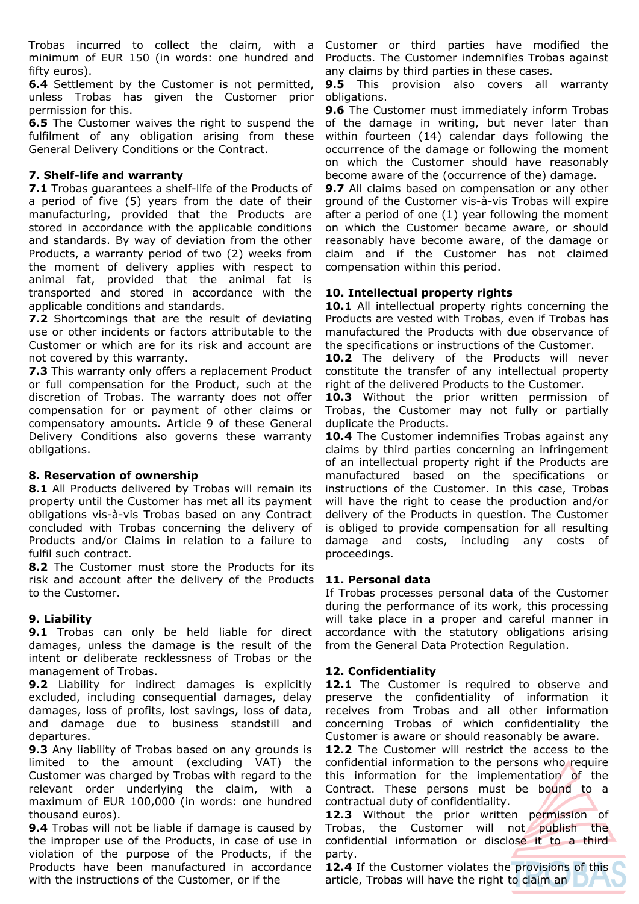Trobas incurred to collect the claim, with a minimum of EUR 150 (in words: one hundred and fifty euros).

**6.4** Settlement by the Customer is not permitted, unless Trobas has given the Customer prior permission for this.

**6.5** The Customer waives the right to suspend the fulfilment of any obligation arising from these General Delivery Conditions or the Contract.

### **7. Shelf-life and warranty**

**7.1** Trobas guarantees a shelf-life of the Products of a period of five (5) years from the date of their manufacturing, provided that the Products are stored in accordance with the applicable conditions and standards. By way of deviation from the other Products, a warranty period of two (2) weeks from the moment of delivery applies with respect to animal fat, provided that the animal fat is transported and stored in accordance with the applicable conditions and standards.

**7.2** Shortcomings that are the result of deviating use or other incidents or factors attributable to the Customer or which are for its risk and account are not covered by this warranty.

**7.3** This warranty only offers a replacement Product or full compensation for the Product, such at the discretion of Trobas. The warranty does not offer compensation for or payment of other claims or compensatory amounts. Article 9 of these General Delivery Conditions also governs these warranty obligations.

### **8. Reservation of ownership**

8.1 All Products delivered by Trobas will remain its property until the Customer has met all its payment obligations vis-à-vis Trobas based on any Contract concluded with Trobas concerning the delivery of Products and/or Claims in relation to a failure to fulfil such contract.

**8.2** The Customer must store the Products for its risk and account after the delivery of the Products to the Customer.

## **9. Liability**

**9.1** Trobas can only be held liable for direct damages, unless the damage is the result of the intent or deliberate recklessness of Trobas or the management of Trobas.

**9.2** Liability for indirect damages is explicitly excluded, including consequential damages, delay damages, loss of profits, lost savings, loss of data, and damage due to business standstill and departures.

**9.3** Any liability of Trobas based on any grounds is limited to the amount (excluding VAT) the Customer was charged by Trobas with regard to the relevant order underlying the claim, with a maximum of EUR 100,000 (in words: one hundred thousand euros).

**9.4** Trobas will not be liable if damage is caused by the improper use of the Products, in case of use in violation of the purpose of the Products, if the Products have been manufactured in accordance with the instructions of the Customer, or if the

Customer or third parties have modified the Products. The Customer indemnifies Trobas against any claims by third parties in these cases.

**9.5** This provision also covers all warranty obligations.

**9.6** The Customer must immediately inform Trobas of the damage in writing, but never later than within fourteen (14) calendar days following the occurrence of the damage or following the moment on which the Customer should have reasonably become aware of the (occurrence of the) damage.

**9.7** All claims based on compensation or any other ground of the Customer vis-à-vis Trobas will expire after a period of one (1) year following the moment on which the Customer became aware, or should reasonably have become aware, of the damage or claim and if the Customer has not claimed compensation within this period.

## **10. Intellectual property rights**

**10.1** All intellectual property rights concerning the Products are vested with Trobas, even if Trobas has manufactured the Products with due observance of the specifications or instructions of the Customer.

**10.2** The delivery of the Products will never constitute the transfer of any intellectual property right of the delivered Products to the Customer.

**10.3** Without the prior written permission of Trobas, the Customer may not fully or partially duplicate the Products.

**10.4** The Customer indemnifies Trobas against any claims by third parties concerning an infringement of an intellectual property right if the Products are manufactured based on the specifications or instructions of the Customer. In this case, Trobas will have the right to cease the production and/or delivery of the Products in question. The Customer is obliged to provide compensation for all resulting damage and costs, including any costs of proceedings.

### **11. Personal data**

If Trobas processes personal data of the Customer during the performance of its work, this processing will take place in a proper and careful manner in accordance with the statutory obligations arising from the General Data Protection Regulation.

## **12. Confidentiality**

12.1 The Customer is required to observe and preserve the confidentiality of information it receives from Trobas and all other information concerning Trobas of which confidentiality the Customer is aware or should reasonably be aware.

**12.2** The Customer will restrict the access to the confidential information to the persons who require this information for the implementation of the Contract. These persons must be bound to a contractual duty of confidentiality.

**12.3** Without the prior written permission of Trobas, the Customer will not publish the confidential information or disclose it to a third party.

**12.4** If the Customer violates the provisions of this article, Trobas will have the right to claim an  $\Box$